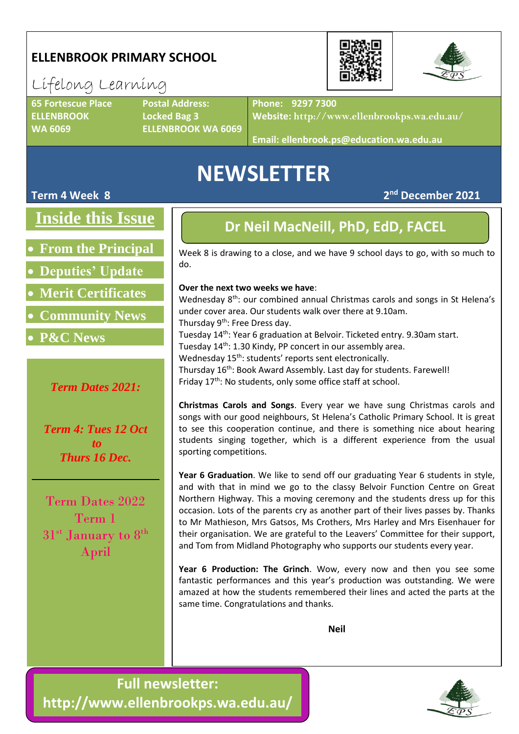### **ELLENBROOK PRIMARY SCHOOL**

# Lifelong Learning

**65 Fortescue Place Postal Address: ELLENBROOK Locked Bag 3**

**WA 6069 ELLENBROOK WA 6069**

**Phone: 9297 7300**

**Website: http://www.ellenbrookps.wa.edu.au/**

**Email: ellenbrook.ps@education.wa.edu.au**

# **NEWSLETTER**

### **Term 4 Week 8 2**

**Inside this Issue**

• **From the Principal**

• **Deputies' Update**

• **Merit Certificates**

• **Community News**

• **P&C News**

*Term Dates 2021:*

*Term 4: Tues 12 Oct to Thurs 16 Dec.*

Term Dates 2022 Term 1 31<sup>st</sup> January to 8<sup>th</sup> April

### **Dr Neil MacNeill, PhD, EdD, FACEL**

Week 8 is drawing to a close, and we have 9 school days to go, with so much to do.

#### **Over the next two weeks we have**:

Wednesday 8<sup>th</sup>: our combined annual Christmas carols and songs in St Helena's under cover area. Our students walk over there at 9.10am. Thursday 9<sup>th</sup>: Free Dress day. Tuesday 14th: Year 6 graduation at Belvoir. Ticketed entry. 9.30am start. Tuesday 14<sup>th</sup>: 1.30 Kindy, PP concert in our assembly area. Wednesday 15<sup>th</sup>: students' reports sent electronically.

Thursday 16<sup>th</sup>: Book Award Assembly. Last day for students. Farewell! Friday 17<sup>th</sup>: No students, only some office staff at school.

**Christmas Carols and Songs**. Every year we have sung Christmas carols and songs with our good neighbours, St Helena's Catholic Primary School. It is great to see this cooperation continue, and there is something nice about hearing students singing together, which is a different experience from the usual sporting competitions.

**Year 6 Graduation**. We like to send off our graduating Year 6 students in style, and with that in mind we go to the classy Belvoir Function Centre on Great Northern Highway. This a moving ceremony and the students dress up for this occasion. Lots of the parents cry as another part of their lives passes by. Thanks to Mr Mathieson, Mrs Gatsos, Ms Crothers, Mrs Harley and Mrs Eisenhauer for their organisation. We are grateful to the Leavers' Committee for their support, and Tom from Midland Photography who supports our students every year.

**Year 6 Production: The Grinch**. Wow, every now and then you see some fantastic performances and this year's production was outstanding. We were amazed at how the students remembered their lines and acted the parts at the same time. Congratulations and thanks.

**Neil**







**nd December 2021**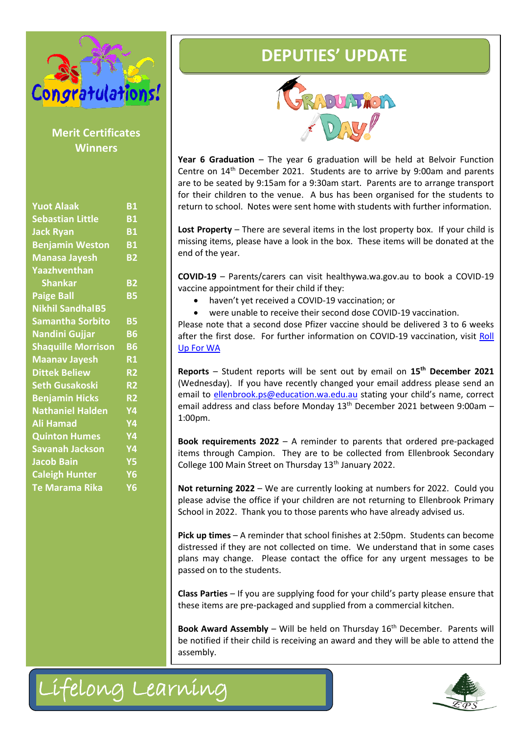

| Congratulations!<br><b>Merit Certificates</b><br><b>Winners</b> |  | <b>DEPUTIES' UPDATE</b><br>RADUATION<br>Year 6 Graduation $-$ The year 6 graduation will be hel<br>Centre on 14 <sup>th</sup> December 2021. Students are to arrive b<br>are to be seated by 9:15am for a 9:30am start. Parents ar |
|-----------------------------------------------------------------|--|------------------------------------------------------------------------------------------------------------------------------------------------------------------------------------------------------------------------------------|
|                                                                 |  |                                                                                                                                                                                                                                    |
| Lifelong Learning                                               |  |                                                                                                                                                                                                                                    |



**Year 6 Graduation** – The year 6 graduation will be held at Belvoir Function Centre on 14th December 2021. Students are to arrive by 9:00am and parents are to be seated by 9:15am for a 9:30am start. Parents are to arrange transport for their children to the venue. A bus has been organised for the students to return to school. Notes were sent home with students with further information.

**Lost Property** – There are several items in the lost property box. If your child is missing items, please have a look in the box. These items will be donated at the end of the year.

**COVID-19** – Parents/carers can visit healthywa.wa.gov.au to book a COVID-19 vaccine appointment for their child if they:

- haven't yet received a COVID-19 vaccination; or
- were unable to receive their second dose COVID-19 vaccination.

Please note that a second dose Pfizer vaccine should be delivered 3 to 6 weeks after the first dose. For further information on COVID-19 vaccination, visit Roll [Up For WA](https://aus01.safelinks.protection.outlook.com/?url=https%3A%2F%2Frollup.wa.gov.au%2F&data=04%7C01%7Cjenna.hardie%40education.wa.edu.au%7Cc66cfb1853e546962ba108d9b079fe06%7Ce08016f9d1fd4cbb83b0b76eb4361627%7C0%7C0%7C637734860256961809%7CUnknown%7CTWFpbGZsb3d8eyJWIjoiMC4wLjAwMDAiLCJQIjoiV2luMzIiLCJBTiI6Ik1haWwiLCJXVCI6Mn0%3D%7C3000&sdata=ukiCJ0WpgwFo5dGtjsG8dmuXwWekWpSvmY8QB9LBDMQ%3D&reserved=0)

**Reports** – Student reports will be sent out by email on **15th December 2021** (Wednesday). If you have recently changed your email address please send an email to [ellenbrook.ps@education.wa.edu.au](mailto:ellenbrook.ps@education.wa.edu.au) stating your child's name, correct email address and class before Monday 13<sup>th</sup> December 2021 between 9:00am -1:00pm.

**Book requirements 2022** – A reminder to parents that ordered pre-packaged items through Campion. They are to be collected from Ellenbrook Secondary College 100 Main Street on Thursday 13th January 2022.

**Not returning 2022** – We are currently looking at numbers for 2022. Could you please advise the office if your children are not returning to Ellenbrook Primary School in 2022. Thank you to those parents who have already advised us.

**Pick up times** – A reminder that school finishes at 2:50pm. Students can become distressed if they are not collected on time. We understand that in some cases plans may change. Please contact the office for any urgent messages to be passed on to the students.

**Class Parties** – If you are supplying food for your child's party please ensure that these items are pre-packaged and supplied from a commercial kitchen.

**Book Award Assembly** – Will be held on Thursday 16<sup>th</sup> December. Parents will be notified if their child is receiving an award and they will be able to attend the assembly.

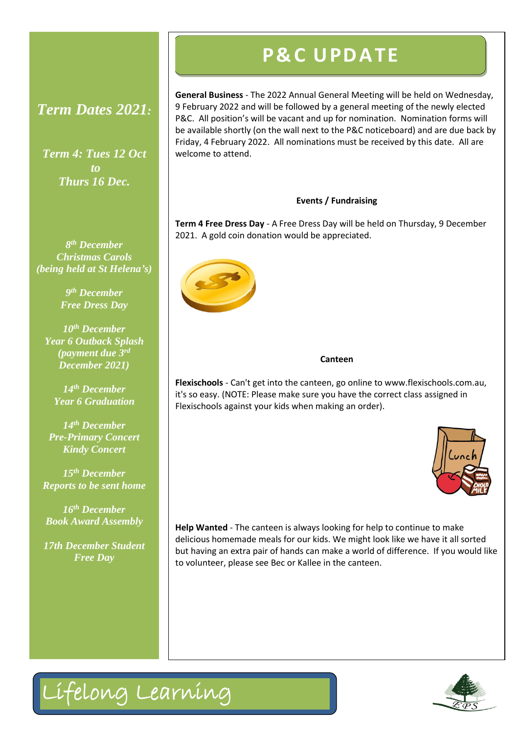### *Term Dates 2021:*

*Term 4: Tues 12 Oct to Thurs 16 Dec.*

*8 th December Christmas Carols (being held at St Helena's)*

> *9 th December Free Dress Day*

*10th December Year 6 Outback Splash (payment due 3rd December 2021)*

*14th December Year 6 Graduation*

*14th December Pre-Primary Concert Kindy Concert*

*15th December Reports to be sent home*

*16th December Book Award Assembly*

*17th December Student Free Day*

# **P& C U PD ATE**

**General Business** - The 2022 Annual General Meeting will be held on Wednesday, 9 February 2022 and will be followed by a general meeting of the newly elected P&C. All position's will be vacant and up for nomination. Nomination forms will be available shortly (on the wall next to the P&C noticeboard) and are due back by Friday, 4 February 2022. All nominations must be received by this date. All are welcome to attend.

#### **Events / Fundraising**

**Term 4 Free Dress Day** - A Free Dress Day will be held on Thursday, 9 December 2021. A gold coin donation would be appreciated.



#### **Canteen**

**Flexischools** - Can't get into the canteen, go online to www.flexischools.com.au, it's so easy. (NOTE: Please make sure you have the correct class assigned in Flexischools against your kids when making an order).



**Help Wanted** - The canteen is always looking for help to continue to make delicious homemade meals for our kids. We might look like we have it all sorted but having an extra pair of hands can make a world of difference. If you would like to volunteer, please see Bec or Kallee in the canteen.



Lifelong Learning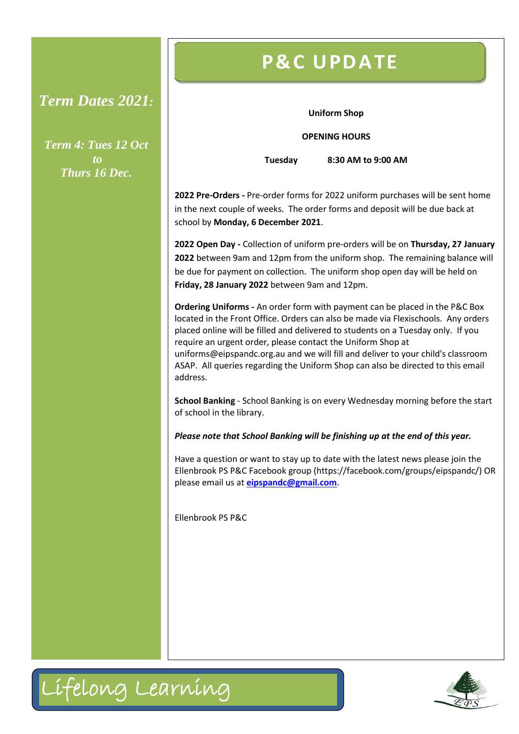### *Term Dates 2021:*

*Term 4: Tues 12 Oct to Thurs 16 Dec.*

# **P& C U PD ATE**

#### **Uniform Shop**

**OPENING HOURS**

**Tuesday 8:30 AM to 9:00 AM**

**2022 Pre-Orders -** Pre-order forms for 2022 uniform purchases will be sent home in the next couple of weeks. The order forms and deposit will be due back at school by **Monday, 6 December 2021**.

**2022 Open Day -** Collection of uniform pre-orders will be on **Thursday, 27 January 2022** between 9am and 12pm from the uniform shop. The remaining balance will be due for payment on collection. The uniform shop open day will be held on **Friday, 28 January 2022** between 9am and 12pm.

**Ordering Uniforms -** An order form with payment can be placed in the P&C Box located in the Front Office. Orders can also be made via Flexischools. Any orders placed online will be filled and delivered to students on a Tuesday only. If you require an urgent order, please contact the Uniform Shop at uniforms@eipspandc.org.au and we will fill and deliver to your child's classroom ASAP. All queries regarding the Uniform Shop can also be directed to this email address.

**School Banking** - School Banking is on every Wednesday morning before the start of school in the library.

*Please note that School Banking will be finishing up at the end of this year.*

Have a question or want to stay up to date with the latest news please join the Ellenbrook PS P&C Facebook group (https://facebook.com/groups/eipspandc/) OR please email us at **[eipspandc@gmail.com](mailto:eipspandc@gmail.com)**.

Ellenbrook PS P&C



 $\overline{a}$ 

Lifelong Learning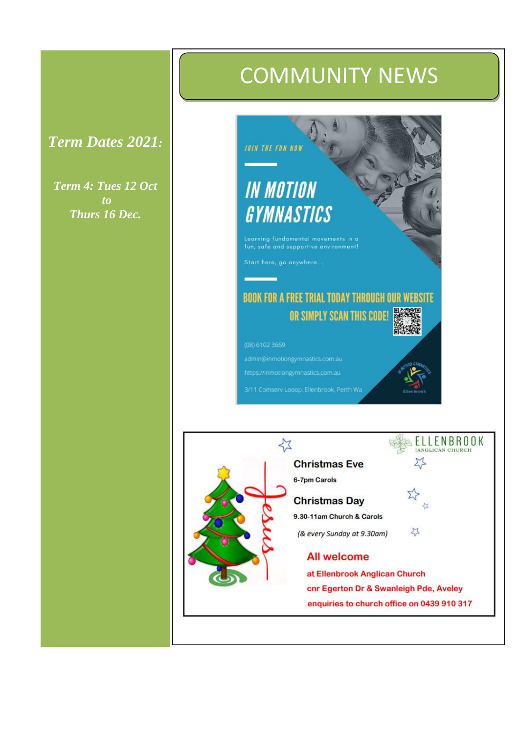## *Term Dates 2021:*

*Term 4: Tues 12 Oct to Thurs 16 Dec.*

# COMMUNITY NEWS



admin@inmotiongymnastics.com.au

https://inmotiongymnastics.com.au

3/11 Comserv Looop, Ellenbrook, Perth Wa